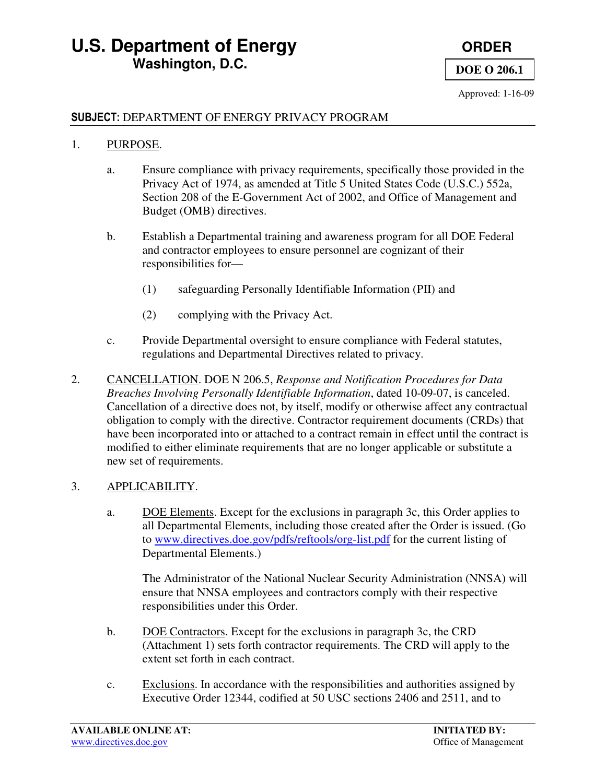### **U.S. Department of Energy <b>CONDER** ORDER  **Washington, D.C.**



**DOE O 206.1**

Approved: 1-16-09

#### SUBJECT: DEPARTMENT OF ENERGY PRIVACY PROGRAM

#### 1. PURPOSE.

- a. Ensure compliance with privacy requirements, specifically those provided in the Privacy Act of 1974, as amended at Title 5 United States Code (U.S.C.) 552a, Section 208 of the E-Government Act of 2002, and Office of Management and Budget (OMB) directives.
- b. Establish a Departmental training and awareness program for all DOE Federal and contractor employees to ensure personnel are cognizant of their responsibilities for—
	- (1) safeguarding Personally Identifiable Information (PII) and
	- (2) complying with the Privacy Act.
- c. Provide Departmental oversight to ensure compliance with Federal statutes, regulations and Departmental Directives related to privacy.
- 2. CANCELLATION. DOE N 206.5, *Response and Notification Procedures for Data Breaches Involving Personally Identifiable Information*, dated 10-09-07, is canceled. Cancellation of a directive does not, by itself, modify or otherwise affect any contractual obligation to comply with the directive. Contractor requirement documents (CRDs) that have been incorporated into or attached to a contract remain in effect until the contract is modified to either eliminate requirements that are no longer applicable or substitute a new set of requirements.

#### 3. APPLICABILITY.

a. DOE Elements. Except for the exclusions in paragraph 3c, this Order applies to all Departmental Elements, including those created after the Order is issued. (Go to www.directives.doe.gov/pdfs/reftools/org-list.pdf for the current listing of Departmental Elements.)

The Administrator of the National Nuclear Security Administration (NNSA) will ensure that NNSA employees and contractors comply with their respective responsibilities under this Order.

- b. DOE Contractors. Except for the exclusions in paragraph 3c, the CRD (Attachment 1) sets forth contractor requirements. The CRD will apply to the extent set forth in each contract.
- c. Exclusions. In accordance with the responsibilities and authorities assigned by Executive Order 12344, codified at 50 USC sections 2406 and 2511, and to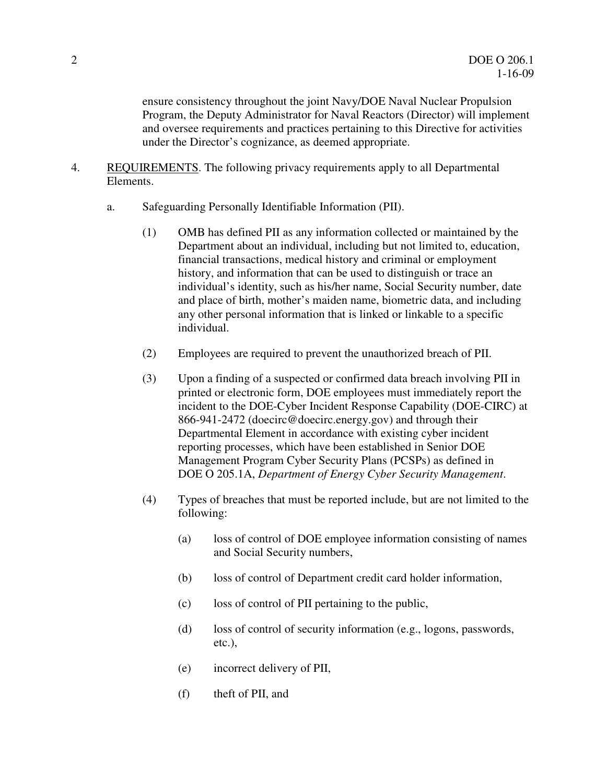ensure consistency throughout the joint Navy/DOE Naval Nuclear Propulsion Program, the Deputy Administrator for Naval Reactors (Director) will implement and oversee requirements and practices pertaining to this Directive for activities under the Director's cognizance, as deemed appropriate.

- 4. REQUIREMENTS. The following privacy requirements apply to all Departmental Elements.
	- a. Safeguarding Personally Identifiable Information (PII).
		- (1) OMB has defined PII as any information collected or maintained by the Department about an individual, including but not limited to, education, financial transactions, medical history and criminal or employment history, and information that can be used to distinguish or trace an individual's identity, such as his/her name, Social Security number, date and place of birth, mother's maiden name, biometric data, and including any other personal information that is linked or linkable to a specific individual.
		- (2) Employees are required to prevent the unauthorized breach of PII.
		- (3) Upon a finding of a suspected or confirmed data breach involving PII in printed or electronic form, DOE employees must immediately report the incident to the DOE-Cyber Incident Response Capability (DOE-CIRC) at 866-941-2472 (doecirc@doecirc.energy.gov) and through their Departmental Element in accordance with existing cyber incident reporting processes, which have been established in Senior DOE Management Program Cyber Security Plans (PCSPs) as defined in DOE O 205.1A, *Department of Energy Cyber Security Management*.
		- (4) Types of breaches that must be reported include, but are not limited to the following:
			- (a) loss of control of DOE employee information consisting of names and Social Security numbers,
			- (b) loss of control of Department credit card holder information,
			- (c) loss of control of PII pertaining to the public,
			- (d) loss of control of security information (e.g., logons, passwords, etc.),
			- (e) incorrect delivery of PII,
			- (f) theft of PII, and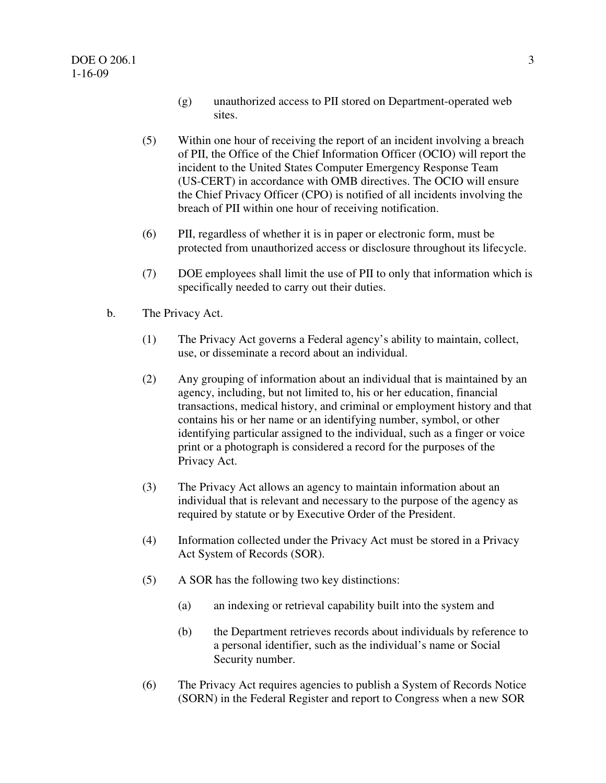- (g) unauthorized access to PII stored on Department-operated web sites.
- (5) Within one hour of receiving the report of an incident involving a breach of PII, the Office of the Chief Information Officer (OCIO) will report the incident to the United States Computer Emergency Response Team (US-CERT) in accordance with OMB directives. The OCIO will ensure the Chief Privacy Officer (CPO) is notified of all incidents involving the breach of PII within one hour of receiving notification.
- (6) PII, regardless of whether it is in paper or electronic form, must be protected from unauthorized access or disclosure throughout its lifecycle.
- (7) DOE employees shall limit the use of PII to only that information which is specifically needed to carry out their duties.
- b. The Privacy Act.
	- (1) The Privacy Act governs a Federal agency's ability to maintain, collect, use, or disseminate a record about an individual.
	- (2) Any grouping of information about an individual that is maintained by an agency, including, but not limited to, his or her education, financial transactions, medical history, and criminal or employment history and that contains his or her name or an identifying number, symbol, or other identifying particular assigned to the individual, such as a finger or voice print or a photograph is considered a record for the purposes of the Privacy Act.
	- (3) The Privacy Act allows an agency to maintain information about an individual that is relevant and necessary to the purpose of the agency as required by statute or by Executive Order of the President.
	- (4) Information collected under the Privacy Act must be stored in a Privacy Act System of Records (SOR).
	- (5) A SOR has the following two key distinctions:
		- (a) an indexing or retrieval capability built into the system and
		- (b) the Department retrieves records about individuals by reference to a personal identifier, such as the individual's name or Social Security number.
	- (6) The Privacy Act requires agencies to publish a System of Records Notice (SORN) in the Federal Register and report to Congress when a new SOR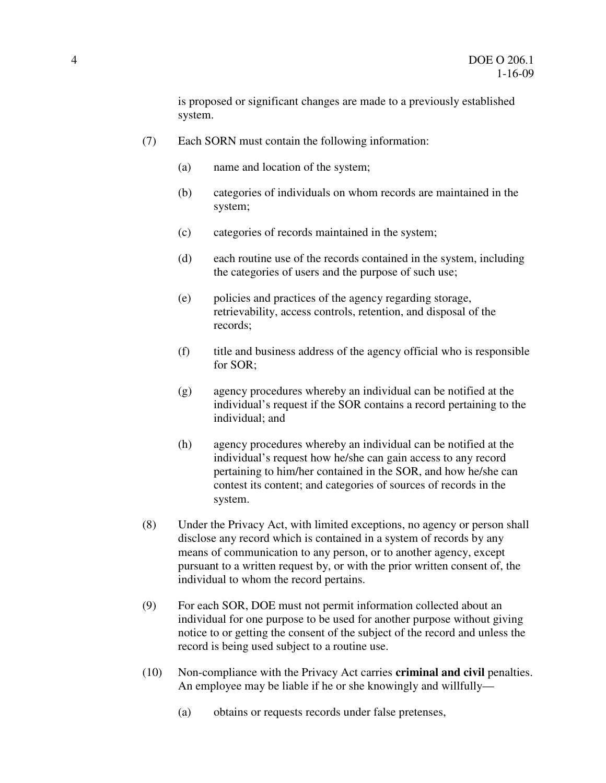is proposed or significant changes are made to a previously established system.

- (7) Each SORN must contain the following information:
	- (a) name and location of the system;
	- (b) categories of individuals on whom records are maintained in the system;
	- (c) categories of records maintained in the system;
	- (d) each routine use of the records contained in the system, including the categories of users and the purpose of such use;
	- (e) policies and practices of the agency regarding storage, retrievability, access controls, retention, and disposal of the records;
	- (f) title and business address of the agency official who is responsible for SOR;
	- (g) agency procedures whereby an individual can be notified at the individual's request if the SOR contains a record pertaining to the individual; and
	- (h) agency procedures whereby an individual can be notified at the individual's request how he/she can gain access to any record pertaining to him/her contained in the SOR, and how he/she can contest its content; and categories of sources of records in the system.
- (8) Under the Privacy Act, with limited exceptions, no agency or person shall disclose any record which is contained in a system of records by any means of communication to any person, or to another agency, except pursuant to a written request by, or with the prior written consent of, the individual to whom the record pertains.
- (9) For each SOR, DOE must not permit information collected about an individual for one purpose to be used for another purpose without giving notice to or getting the consent of the subject of the record and unless the record is being used subject to a routine use.
- (10) Non-compliance with the Privacy Act carries **criminal and civil** penalties. An employee may be liable if he or she knowingly and willfully—
	- (a) obtains or requests records under false pretenses,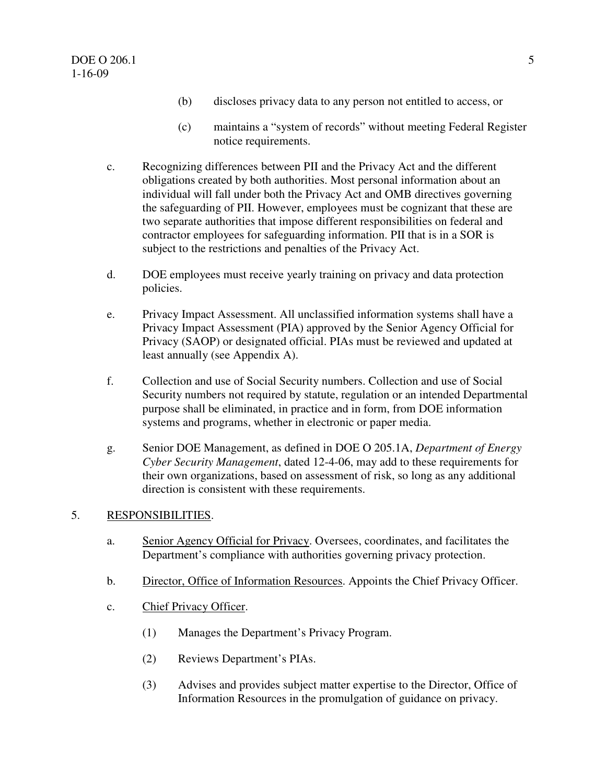- (b) discloses privacy data to any person not entitled to access, or
- (c) maintains a "system of records" without meeting Federal Register notice requirements.
- c. Recognizing differences between PII and the Privacy Act and the different obligations created by both authorities. Most personal information about an individual will fall under both the Privacy Act and OMB directives governing the safeguarding of PII. However, employees must be cognizant that these are two separate authorities that impose different responsibilities on federal and contractor employees for safeguarding information. PII that is in a SOR is subject to the restrictions and penalties of the Privacy Act.
- d. DOE employees must receive yearly training on privacy and data protection policies.
- e. Privacy Impact Assessment. All unclassified information systems shall have a Privacy Impact Assessment (PIA) approved by the Senior Agency Official for Privacy (SAOP) or designated official. PIAs must be reviewed and updated at least annually (see Appendix A).
- f. Collection and use of Social Security numbers. Collection and use of Social Security numbers not required by statute, regulation or an intended Departmental purpose shall be eliminated, in practice and in form, from DOE information systems and programs, whether in electronic or paper media.
- g. Senior DOE Management, as defined in DOE O 205.1A, *Department of Energy Cyber Security Management*, dated 12-4-06, may add to these requirements for their own organizations, based on assessment of risk, so long as any additional direction is consistent with these requirements.

#### 5. RESPONSIBILITIES.

- a. Senior Agency Official for Privacy. Oversees, coordinates, and facilitates the Department's compliance with authorities governing privacy protection.
- b. Director, Office of Information Resources. Appoints the Chief Privacy Officer.
- c. Chief Privacy Officer.
	- (1) Manages the Department's Privacy Program.
	- (2) Reviews Department's PIAs.
	- (3) Advises and provides subject matter expertise to the Director, Office of Information Resources in the promulgation of guidance on privacy.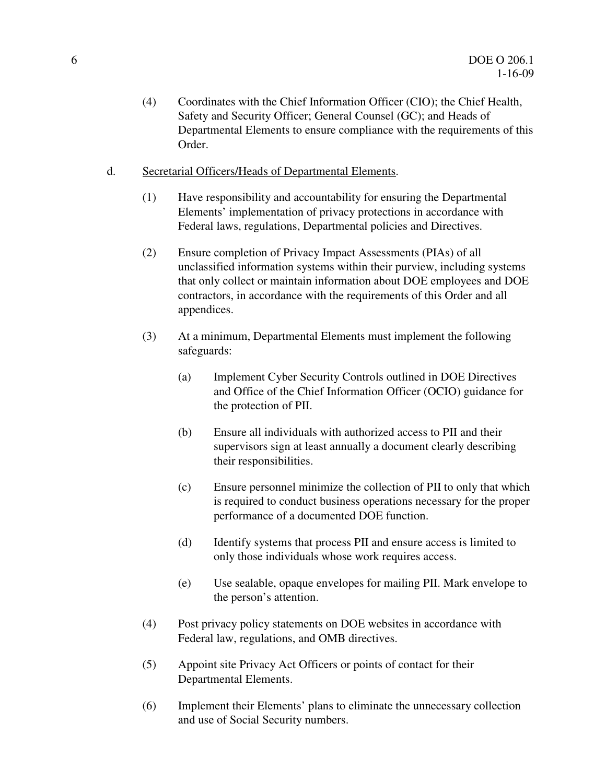- (4) Coordinates with the Chief Information Officer (CIO); the Chief Health, Safety and Security Officer; General Counsel (GC); and Heads of Departmental Elements to ensure compliance with the requirements of this Order.
- d. Secretarial Officers/Heads of Departmental Elements.
	- (1) Have responsibility and accountability for ensuring the Departmental Elements' implementation of privacy protections in accordance with Federal laws, regulations, Departmental policies and Directives.
	- (2) Ensure completion of Privacy Impact Assessments (PIAs) of all unclassified information systems within their purview, including systems that only collect or maintain information about DOE employees and DOE contractors, in accordance with the requirements of this Order and all appendices.
	- (3) At a minimum, Departmental Elements must implement the following safeguards:
		- (a) Implement Cyber Security Controls outlined in DOE Directives and Office of the Chief Information Officer (OCIO) guidance for the protection of PII.
		- (b) Ensure all individuals with authorized access to PII and their supervisors sign at least annually a document clearly describing their responsibilities.
		- (c) Ensure personnel minimize the collection of PII to only that which is required to conduct business operations necessary for the proper performance of a documented DOE function.
		- (d) Identify systems that process PII and ensure access is limited to only those individuals whose work requires access.
		- (e) Use sealable, opaque envelopes for mailing PII. Mark envelope to the person's attention.
	- (4) Post privacy policy statements on DOE websites in accordance with Federal law, regulations, and OMB directives.
	- (5) Appoint site Privacy Act Officers or points of contact for their Departmental Elements.
	- (6) Implement their Elements' plans to eliminate the unnecessary collection and use of Social Security numbers.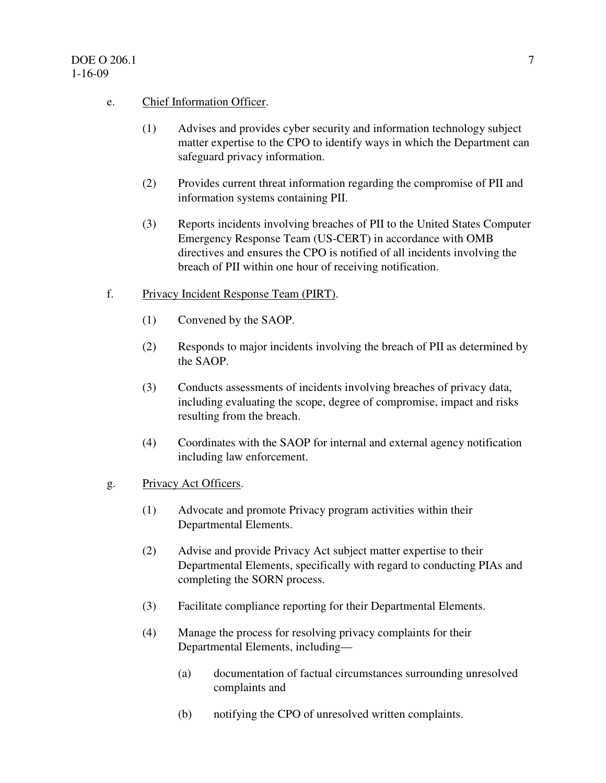#### e. Chief Information Officer.

- (1) Advises and provides cyber security and information technology subject matter expertise to the CPO to identify ways in which the Department can safeguard privacy information.
- (2) Provides current threat information regarding the compromise of PII and information systems containing PII.
- (3) Reports incidents involving breaches of PII to the United States Computer Emergency Response Team (US-CERT) in accordance with OMB directives and ensures the CPO is notified of all incidents involving the breach of PII within one hour of receiving notification.

#### f. Privacy Incident Response Team (PIRT).

- (1) Convened by the SAOP.
- (2) Responds to major incidents involving the breach of PII as determined by the SAOP.
- (3) Conducts assessments of incidents involving breaches of privacy data, including evaluating the scope, degree of compromise, impact and risks resulting from the breach.
- (4) Coordinates with the SAOP for internal and external agency notification including law enforcement.

#### g. Privacy Act Officers.

- (1) Advocate and promote Privacy program activities within their Departmental Elements.
- (2) Advise and provide Privacy Act subject matter expertise to their Departmental Elements, specifically with regard to conducting PIAs and completing the SORN process.
- (3) Facilitate compliance reporting for their Departmental Elements.
- (4) Manage the process for resolving privacy complaints for their Departmental Elements, including—
	- (a) documentation of factual circumstances surrounding unresolved complaints and
	- (b) notifying the CPO of unresolved written complaints.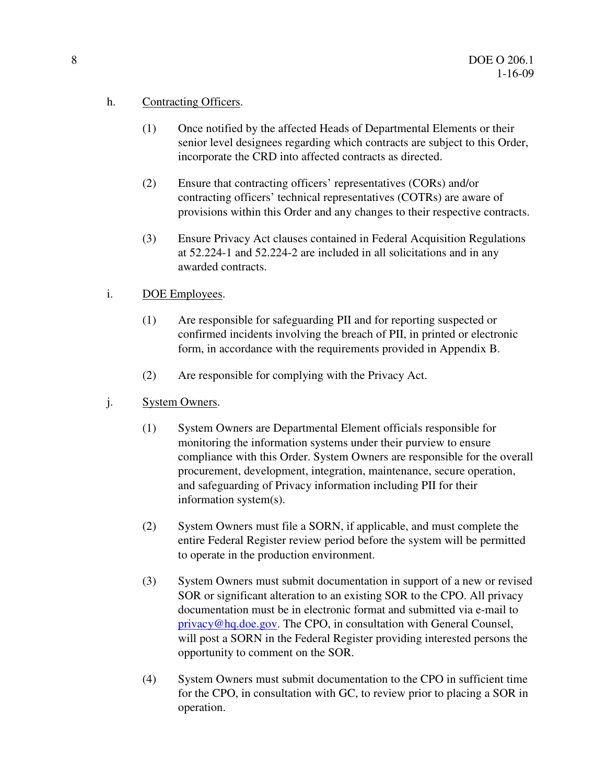#### h. Contracting Officers.

- (1) Once notified by the affected Heads of Departmental Elements or their senior level designees regarding which contracts are subject to this Order, incorporate the CRD into affected contracts as directed.
- (2) Ensure that contracting officers' representatives (CORs) and/or contracting officers' technical representatives (COTRs) are aware of provisions within this Order and any changes to their respective contracts.
- (3) Ensure Privacy Act clauses contained in Federal Acquisition Regulations at 52.224-1 and 52.224-2 are included in all solicitations and in any awarded contracts.

#### i. DOE Employees.

- (1) Are responsible for safeguarding PII and for reporting suspected or confirmed incidents involving the breach of PII, in printed or electronic form, in accordance with the requirements provided in Appendix B.
- (2) Are responsible for complying with the Privacy Act.
- j. System Owners.
	- (1) System Owners are Departmental Element officials responsible for monitoring the information systems under their purview to ensure compliance with this Order. System Owners are responsible for the overall procurement, development, integration, maintenance, secure operation, and safeguarding of Privacy information including PII for their information system(s).
	- (2) System Owners must file a SORN, if applicable, and must complete the entire Federal Register review period before the system will be permitted to operate in the production environment.
	- (3) System Owners must submit documentation in support of a new or revised SOR or significant alteration to an existing SOR to the CPO. All privacy documentation must be in electronic format and submitted via e-mail to privacy@hq.doe.gov. The CPO, in consultation with General Counsel, will post a SORN in the Federal Register providing interested persons the opportunity to comment on the SOR.
	- (4) System Owners must submit documentation to the CPO in sufficient time for the CPO, in consultation with GC, to review prior to placing a SOR in operation.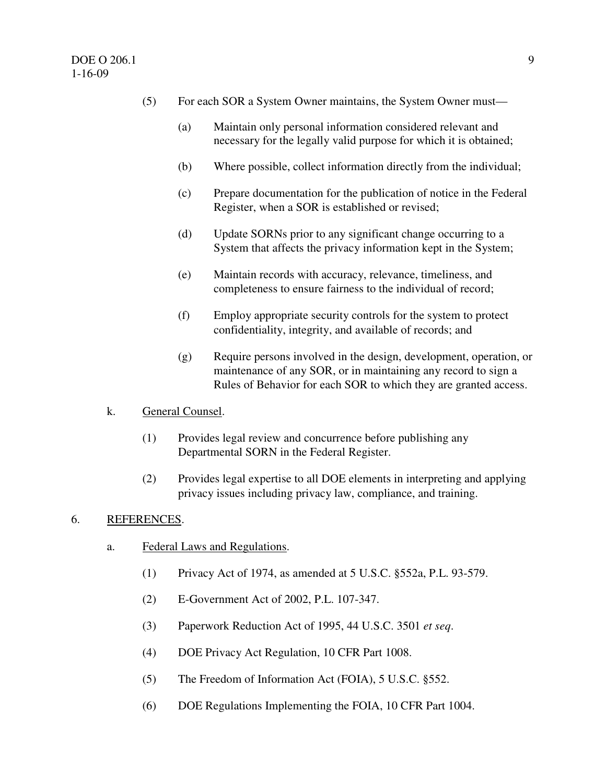- (5) For each SOR a System Owner maintains, the System Owner must—
	- (a) Maintain only personal information considered relevant and necessary for the legally valid purpose for which it is obtained;
	- (b) Where possible, collect information directly from the individual;
	- (c) Prepare documentation for the publication of notice in the Federal Register, when a SOR is established or revised;
	- (d) Update SORNs prior to any significant change occurring to a System that affects the privacy information kept in the System;
	- (e) Maintain records with accuracy, relevance, timeliness, and completeness to ensure fairness to the individual of record;
	- (f) Employ appropriate security controls for the system to protect confidentiality, integrity, and available of records; and
	- (g) Require persons involved in the design, development, operation, or maintenance of any SOR, or in maintaining any record to sign a Rules of Behavior for each SOR to which they are granted access.

#### k. General Counsel.

- (1) Provides legal review and concurrence before publishing any Departmental SORN in the Federal Register.
- (2) Provides legal expertise to all DOE elements in interpreting and applying privacy issues including privacy law, compliance, and training.

#### 6. REFERENCES.

- a. Federal Laws and Regulations.
	- (1) Privacy Act of 1974, as amended at 5 U.S.C. §552a, P.L. 93-579.
	- (2) E-Government Act of 2002, P.L. 107-347.
	- (3) Paperwork Reduction Act of 1995, 44 U.S.C. 3501 *et seq*.
	- (4) DOE Privacy Act Regulation, 10 CFR Part 1008.
	- (5) The Freedom of Information Act (FOIA), 5 U.S.C. §552.
	- (6) DOE Regulations Implementing the FOIA, 10 CFR Part 1004.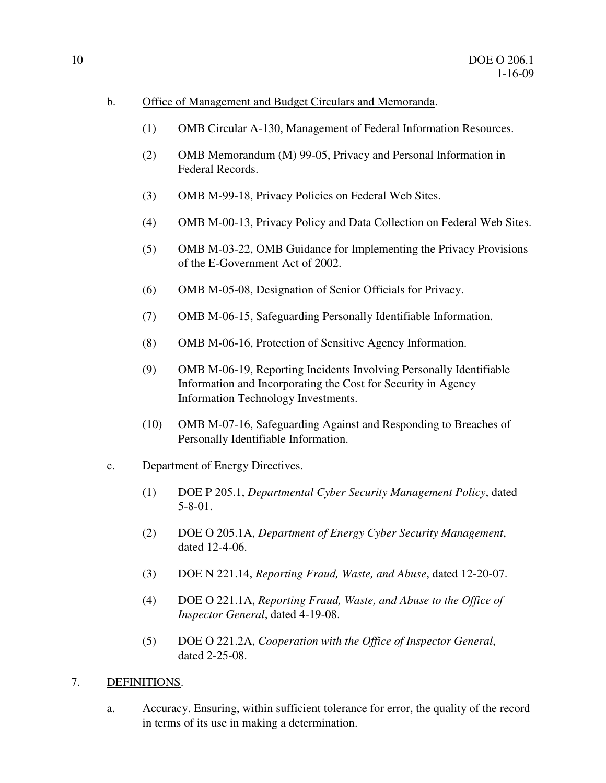- b. Office of Management and Budget Circulars and Memoranda.
	- (1) OMB Circular A-130, Management of Federal Information Resources.
	- (2) OMB Memorandum (M) 99-05, Privacy and Personal Information in Federal Records.
	- (3) OMB M-99-18, Privacy Policies on Federal Web Sites.
	- (4) OMB M-00-13, Privacy Policy and Data Collection on Federal Web Sites.
	- (5) OMB M-03-22, OMB Guidance for Implementing the Privacy Provisions of the E-Government Act of 2002.
	- (6) OMB M-05-08, Designation of Senior Officials for Privacy.
	- (7) OMB M-06-15, Safeguarding Personally Identifiable Information.
	- (8) OMB M-06-16, Protection of Sensitive Agency Information.
	- (9) OMB M-06-19, Reporting Incidents Involving Personally Identifiable Information and Incorporating the Cost for Security in Agency Information Technology Investments.
	- (10) OMB M-07-16, Safeguarding Against and Responding to Breaches of Personally Identifiable Information.
- c. Department of Energy Directives.
	- (1) DOE P 205.1, *Departmental Cyber Security Management Policy*, dated 5-8-01.
	- (2) DOE O 205.1A, *Department of Energy Cyber Security Management*, dated 12-4-06.
	- (3) DOE N 221.14, *Reporting Fraud, Waste, and Abuse*, dated 12-20-07.
	- (4) DOE O 221.1A, *Reporting Fraud, Waste, and Abuse to the Office of Inspector General*, dated 4-19-08.
	- (5) DOE O 221.2A, *Cooperation with the Office of Inspector General*, dated 2-25-08.
- 7. DEFINITIONS.
	- a. Accuracy. Ensuring, within sufficient tolerance for error, the quality of the record in terms of its use in making a determination.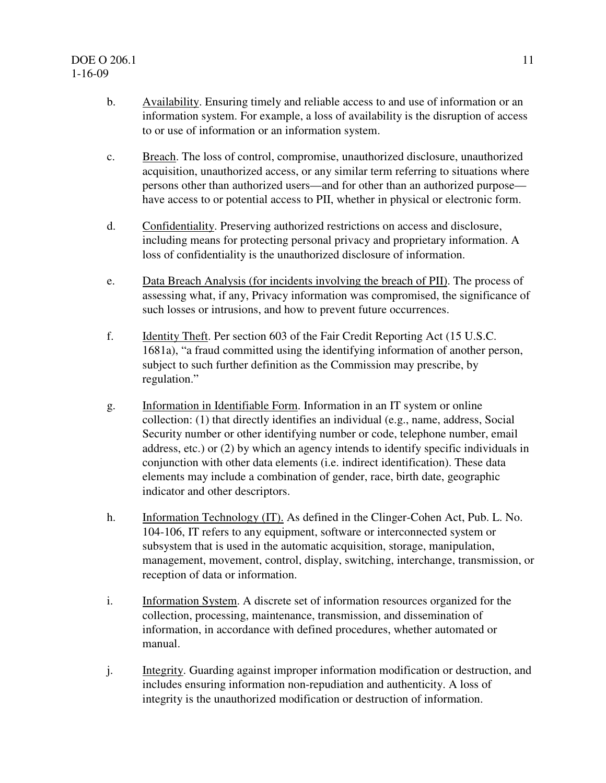- b. Availability. Ensuring timely and reliable access to and use of information or an information system. For example, a loss of availability is the disruption of access to or use of information or an information system.
- c. Breach. The loss of control, compromise, unauthorized disclosure, unauthorized acquisition, unauthorized access, or any similar term referring to situations where persons other than authorized users—and for other than an authorized purpose have access to or potential access to PII, whether in physical or electronic form.
- d. Confidentiality. Preserving authorized restrictions on access and disclosure, including means for protecting personal privacy and proprietary information. A loss of confidentiality is the unauthorized disclosure of information.
- e. Data Breach Analysis (for incidents involving the breach of PII). The process of assessing what, if any, Privacy information was compromised, the significance of such losses or intrusions, and how to prevent future occurrences.
- f. Identity Theft. Per section 603 of the Fair Credit Reporting Act (15 U.S.C. 1681a), "a fraud committed using the identifying information of another person, subject to such further definition as the Commission may prescribe, by regulation."
- g. Information in Identifiable Form. Information in an IT system or online collection: (1) that directly identifies an individual (e.g., name, address, Social Security number or other identifying number or code, telephone number, email address, etc.) or (2) by which an agency intends to identify specific individuals in conjunction with other data elements (i.e. indirect identification). These data elements may include a combination of gender, race, birth date, geographic indicator and other descriptors.
- h. Information Technology (IT). As defined in the Clinger-Cohen Act, Pub. L. No. 104-106, IT refers to any equipment, software or interconnected system or subsystem that is used in the automatic acquisition, storage, manipulation, management, movement, control, display, switching, interchange, transmission, or reception of data or information.
- i. Information System. A discrete set of information resources organized for the collection, processing, maintenance, transmission, and dissemination of information, in accordance with defined procedures, whether automated or manual.
- j. Integrity. Guarding against improper information modification or destruction, and includes ensuring information non-repudiation and authenticity. A loss of integrity is the unauthorized modification or destruction of information.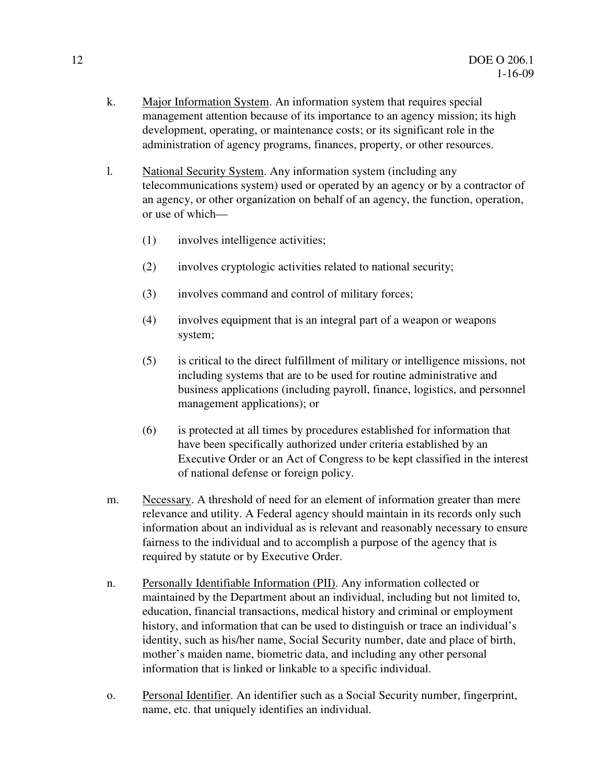- k. Major Information System. An information system that requires special management attention because of its importance to an agency mission; its high development, operating, or maintenance costs; or its significant role in the administration of agency programs, finances, property, or other resources.
- l. National Security System. Any information system (including any telecommunications system) used or operated by an agency or by a contractor of an agency, or other organization on behalf of an agency, the function, operation, or use of which—
	- (1) involves intelligence activities;
	- (2) involves cryptologic activities related to national security;
	- (3) involves command and control of military forces;
	- (4) involves equipment that is an integral part of a weapon or weapons system;
	- (5) is critical to the direct fulfillment of military or intelligence missions, not including systems that are to be used for routine administrative and business applications (including payroll, finance, logistics, and personnel management applications); or
	- (6) is protected at all times by procedures established for information that have been specifically authorized under criteria established by an Executive Order or an Act of Congress to be kept classified in the interest of national defense or foreign policy.
- m. Necessary. A threshold of need for an element of information greater than mere relevance and utility. A Federal agency should maintain in its records only such information about an individual as is relevant and reasonably necessary to ensure fairness to the individual and to accomplish a purpose of the agency that is required by statute or by Executive Order.
- n. Personally Identifiable Information (PII). Any information collected or maintained by the Department about an individual, including but not limited to, education, financial transactions, medical history and criminal or employment history, and information that can be used to distinguish or trace an individual's identity, such as his/her name, Social Security number, date and place of birth, mother's maiden name, biometric data, and including any other personal information that is linked or linkable to a specific individual.
- o. Personal Identifier. An identifier such as a Social Security number, fingerprint, name, etc. that uniquely identifies an individual.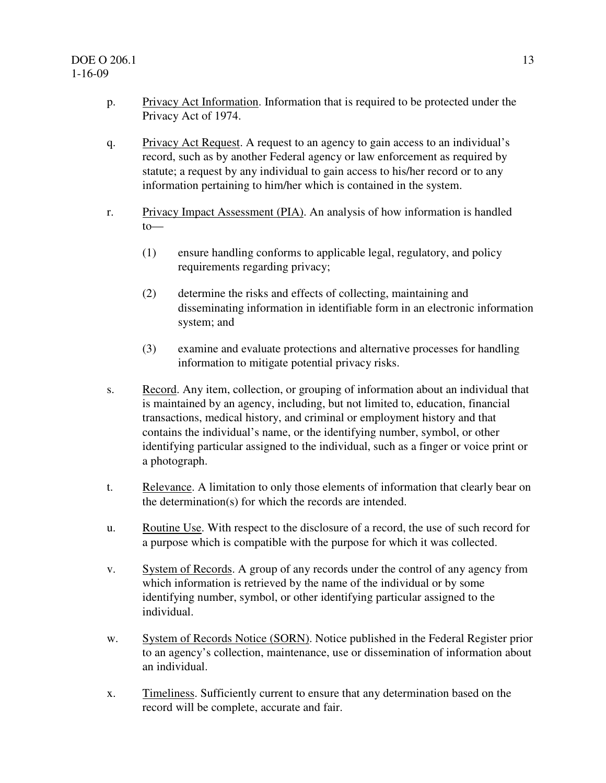- p. Privacy Act Information. Information that is required to be protected under the Privacy Act of 1974.
- q. Privacy Act Request. A request to an agency to gain access to an individual's record, such as by another Federal agency or law enforcement as required by statute; a request by any individual to gain access to his/her record or to any information pertaining to him/her which is contained in the system.
- r. Privacy Impact Assessment (PIA). An analysis of how information is handled to—
	- (1) ensure handling conforms to applicable legal, regulatory, and policy requirements regarding privacy;
	- (2) determine the risks and effects of collecting, maintaining and disseminating information in identifiable form in an electronic information system; and
	- (3) examine and evaluate protections and alternative processes for handling information to mitigate potential privacy risks.
- s. Record. Any item, collection, or grouping of information about an individual that is maintained by an agency, including, but not limited to, education, financial transactions, medical history, and criminal or employment history and that contains the individual's name, or the identifying number, symbol, or other identifying particular assigned to the individual, such as a finger or voice print or a photograph.
- t. Relevance. A limitation to only those elements of information that clearly bear on the determination(s) for which the records are intended.
- u. Routine Use. With respect to the disclosure of a record, the use of such record for a purpose which is compatible with the purpose for which it was collected.
- v. System of Records. A group of any records under the control of any agency from which information is retrieved by the name of the individual or by some identifying number, symbol, or other identifying particular assigned to the individual.
- w. System of Records Notice (SORN). Notice published in the Federal Register prior to an agency's collection, maintenance, use or dissemination of information about an individual.
- x. Timeliness. Sufficiently current to ensure that any determination based on the record will be complete, accurate and fair.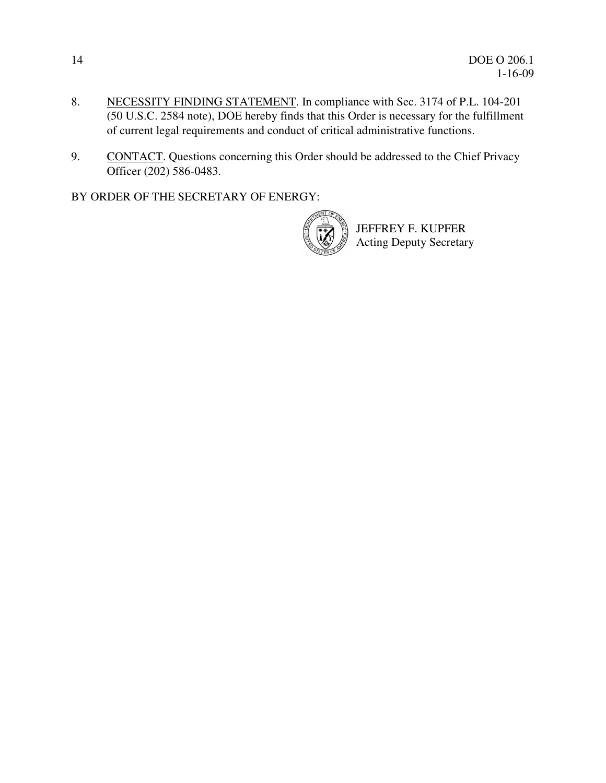- 8. NECESSITY FINDING STATEMENT. In compliance with Sec. 3174 of P.L. 104-201 (50 U.S.C. 2584 note), DOE hereby finds that this Order is necessary for the fulfillment of current legal requirements and conduct of critical administrative functions.
- 9. CONTACT. Questions concerning this Order should be addressed to the Chief Privacy Officer (202) 586-0483.

BY ORDER OF THE SECRETARY OF ENERGY:



JEFFREY F. KUPFER Acting Deputy Secretary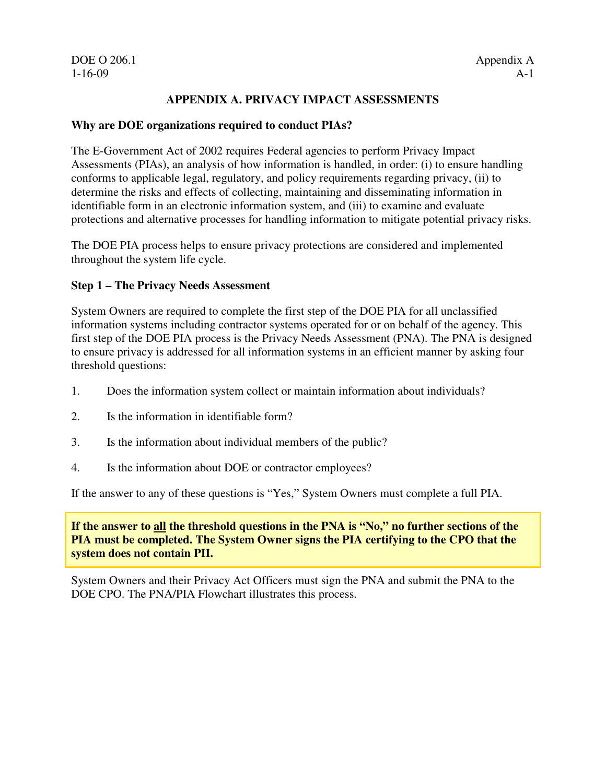DOE O 206.1 Appendix A

#### **APPENDIX A. PRIVACY IMPACT ASSESSMENTS**

#### **Why are DOE organizations required to conduct PIAs?**

The E-Government Act of 2002 requires Federal agencies to perform Privacy Impact Assessments (PIAs), an analysis of how information is handled, in order: (i) to ensure handling conforms to applicable legal, regulatory, and policy requirements regarding privacy, (ii) to determine the risks and effects of collecting, maintaining and disseminating information in identifiable form in an electronic information system, and (iii) to examine and evaluate protections and alternative processes for handling information to mitigate potential privacy risks.

The DOE PIA process helps to ensure privacy protections are considered and implemented throughout the system life cycle.

#### **Step 1 – The Privacy Needs Assessment**

System Owners are required to complete the first step of the DOE PIA for all unclassified information systems including contractor systems operated for or on behalf of the agency. This first step of the DOE PIA process is the Privacy Needs Assessment (PNA). The PNA is designed to ensure privacy is addressed for all information systems in an efficient manner by asking four threshold questions:

- 1. Does the information system collect or maintain information about individuals?
- 2. Is the information in identifiable form?
- 3. Is the information about individual members of the public?
- 4. Is the information about DOE or contractor employees?

If the answer to any of these questions is "Yes," System Owners must complete a full PIA.

**If the answer to all the threshold questions in the PNA is "No," no further sections of the PIA must be completed. The System Owner signs the PIA certifying to the CPO that the system does not contain PII.** 

System Owners and their Privacy Act Officers must sign the PNA and submit the PNA to the DOE CPO. The PNA/PIA Flowchart illustrates this process.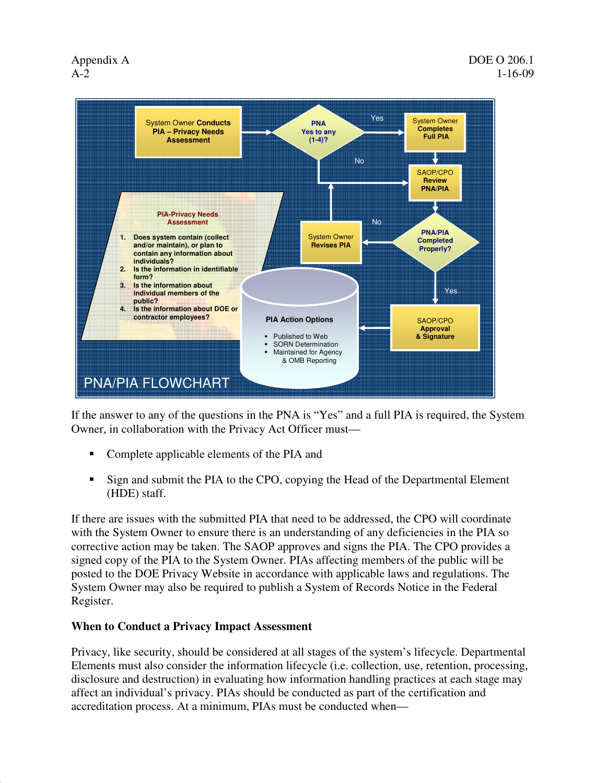

If the answer to any of the questions in the PNA is "Yes" and a full PIA is required, the System Owner, in collaboration with the Privacy Act Officer must—

- Complete applicable elements of the PIA and
- Sign and submit the PIA to the CPO, copying the Head of the Departmental Element (HDE) staff.

If there are issues with the submitted PIA that need to be addressed, the CPO will coordinate with the System Owner to ensure there is an understanding of any deficiencies in the PIA so corrective action may be taken. The SAOP approves and signs the PIA. The CPO provides a signed copy of the PIA to the System Owner. PIAs affecting members of the public will be posted to the DOE Privacy Website in accordance with applicable laws and regulations. The System Owner may also be required to publish a System of Records Notice in the Federal Register.

#### **When to Conduct a Privacy Impact Assessment**

Privacy, like security, should be considered at all stages of the system's lifecycle. Departmental Elements must also consider the information lifecycle (i.e. collection, use, retention, processing, disclosure and destruction) in evaluating how information handling practices at each stage may affect an individual's privacy. PIAs should be conducted as part of the certification and accreditation process. At a minimum, PIAs must be conducted when—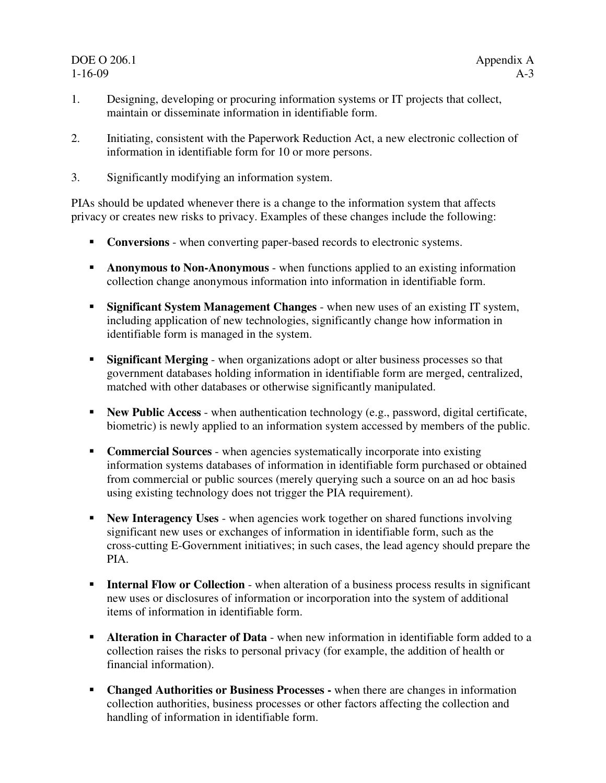## DOE O 206.1 Appendix A

- 1. Designing, developing or procuring information systems or IT projects that collect, maintain or disseminate information in identifiable form.
- 2. Initiating, consistent with the Paperwork Reduction Act, a new electronic collection of information in identifiable form for 10 or more persons.
- 3. Significantly modifying an information system.

PIAs should be updated whenever there is a change to the information system that affects privacy or creates new risks to privacy. Examples of these changes include the following:

- **Conversions** when converting paper-based records to electronic systems.
- **Anonymous to Non-Anonymous** when functions applied to an existing information collection change anonymous information into information in identifiable form.
- **Significant System Management Changes** when new uses of an existing IT system, including application of new technologies, significantly change how information in identifiable form is managed in the system.
- **Significant Merging** when organizations adopt or alter business processes so that government databases holding information in identifiable form are merged, centralized, matched with other databases or otherwise significantly manipulated.
- **New Public Access** when authentication technology (e.g., password, digital certificate, biometric) is newly applied to an information system accessed by members of the public.
- **Commercial Sources** when agencies systematically incorporate into existing information systems databases of information in identifiable form purchased or obtained from commercial or public sources (merely querying such a source on an ad hoc basis using existing technology does not trigger the PIA requirement).
- **New Interagency Uses** when agencies work together on shared functions involving significant new uses or exchanges of information in identifiable form, such as the cross-cutting E-Government initiatives; in such cases, the lead agency should prepare the PIA.
- **Internal Flow or Collection** when alteration of a business process results in significant new uses or disclosures of information or incorporation into the system of additional items of information in identifiable form.
- **Alteration in Character of Data** when new information in identifiable form added to a collection raises the risks to personal privacy (for example, the addition of health or financial information).
- **Changed Authorities or Business Processes -** when there are changes in information collection authorities, business processes or other factors affecting the collection and handling of information in identifiable form.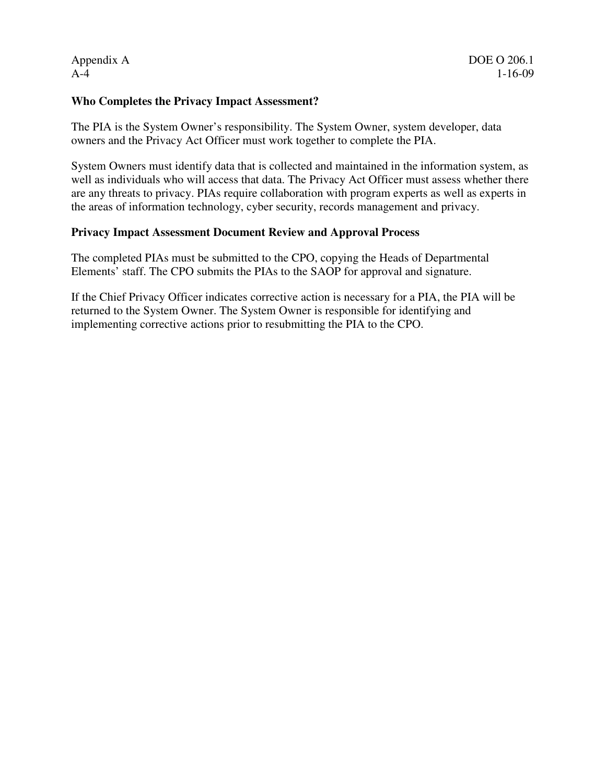#### **Who Completes the Privacy Impact Assessment?**

The PIA is the System Owner's responsibility. The System Owner, system developer, data owners and the Privacy Act Officer must work together to complete the PIA.

System Owners must identify data that is collected and maintained in the information system, as well as individuals who will access that data. The Privacy Act Officer must assess whether there are any threats to privacy. PIAs require collaboration with program experts as well as experts in the areas of information technology, cyber security, records management and privacy.

#### **Privacy Impact Assessment Document Review and Approval Process**

The completed PIAs must be submitted to the CPO, copying the Heads of Departmental Elements' staff. The CPO submits the PIAs to the SAOP for approval and signature.

If the Chief Privacy Officer indicates corrective action is necessary for a PIA, the PIA will be returned to the System Owner. The System Owner is responsible for identifying and implementing corrective actions prior to resubmitting the PIA to the CPO.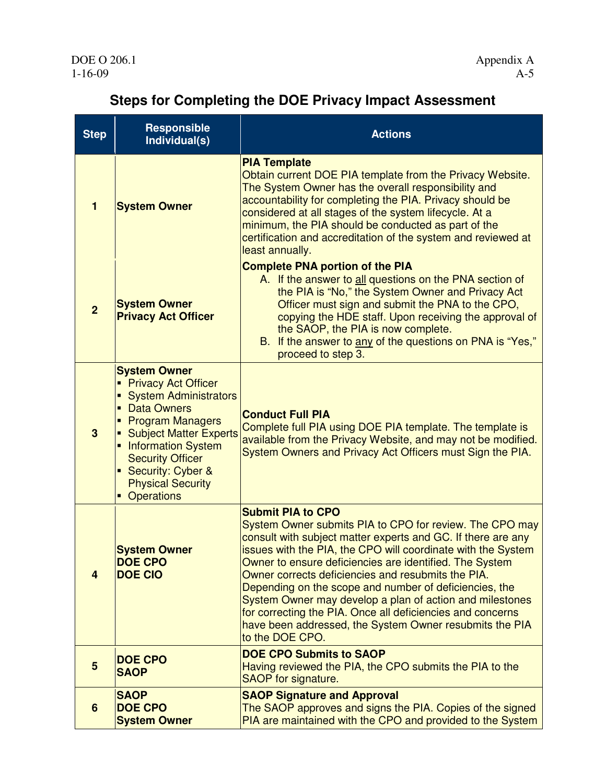×.

## **Steps for Completing the DOE Privacy Impact Assessment**

 $\overline{\phantom{a}}$ 

| <b>Step</b>             | <b>Responsible</b><br>Individual(s)                                                                                                                                                                                                                                                               | <b>Actions</b>                                                                                                                                                                                                                                                                                                                                                                                                                                                                                                                                                                                         |  |
|-------------------------|---------------------------------------------------------------------------------------------------------------------------------------------------------------------------------------------------------------------------------------------------------------------------------------------------|--------------------------------------------------------------------------------------------------------------------------------------------------------------------------------------------------------------------------------------------------------------------------------------------------------------------------------------------------------------------------------------------------------------------------------------------------------------------------------------------------------------------------------------------------------------------------------------------------------|--|
| 1                       | <b>System Owner</b>                                                                                                                                                                                                                                                                               | <b>PIA Template</b><br>Obtain current DOE PIA template from the Privacy Website.<br>The System Owner has the overall responsibility and<br>accountability for completing the PIA. Privacy should be<br>considered at all stages of the system lifecycle. At a<br>minimum, the PIA should be conducted as part of the<br>certification and accreditation of the system and reviewed at<br>least annually.                                                                                                                                                                                               |  |
| $\overline{2}$          | <b>System Owner</b><br><b>Privacy Act Officer</b>                                                                                                                                                                                                                                                 | <b>Complete PNA portion of the PIA</b><br>A. If the answer to all questions on the PNA section of<br>the PIA is "No," the System Owner and Privacy Act<br>Officer must sign and submit the PNA to the CPO,<br>copying the HDE staff. Upon receiving the approval of<br>the SAOP, the PIA is now complete.<br>B. If the answer to any of the questions on PNA is "Yes,"<br>proceed to step 3.                                                                                                                                                                                                           |  |
| 3                       | <b>System Owner</b><br><b>Privacy Act Officer</b><br><b>System Administrators</b><br><b>Data Owners</b><br>$\blacksquare$<br>• Program Managers<br>• Subject Matter Experts<br>• Information System<br><b>Security Officer</b><br>• Security: Cyber &<br><b>Physical Security</b><br>• Operations | <b>Conduct Full PIA</b><br>Complete full PIA using DOE PIA template. The template is<br>available from the Privacy Website, and may not be modified.<br>System Owners and Privacy Act Officers must Sign the PIA.                                                                                                                                                                                                                                                                                                                                                                                      |  |
| $\overline{\mathbf{4}}$ | <b>System Owner</b><br>DOF CPO<br><b>DOE CIO</b>                                                                                                                                                                                                                                                  | <b>Submit PIA to CPO</b><br>System Owner submits PIA to CPO for review. The CPO may<br>consult with subject matter experts and GC. If there are any<br>issues with the PIA, the CPO will coordinate with the System<br>Owner to ensure deficiencies are identified. The System<br>Owner corrects deficiencies and resubmits the PIA.<br>Depending on the scope and number of deficiencies, the<br>System Owner may develop a plan of action and milestones<br>for correcting the PIA. Once all deficiencies and concerns<br>have been addressed, the System Owner resubmits the PIA<br>to the DOE CPO. |  |
| 5                       | <b>DOE CPO</b><br><b>SAOP</b>                                                                                                                                                                                                                                                                     | <b>DOE CPO Submits to SAOP</b><br>Having reviewed the PIA, the CPO submits the PIA to the<br>SAOP for signature.                                                                                                                                                                                                                                                                                                                                                                                                                                                                                       |  |
| 6                       | <b>SAOP</b><br><b>DOE CPO</b><br><b>System Owner</b>                                                                                                                                                                                                                                              | <b>SAOP Signature and Approval</b><br>The SAOP approves and signs the PIA. Copies of the signed<br>PIA are maintained with the CPO and provided to the System                                                                                                                                                                                                                                                                                                                                                                                                                                          |  |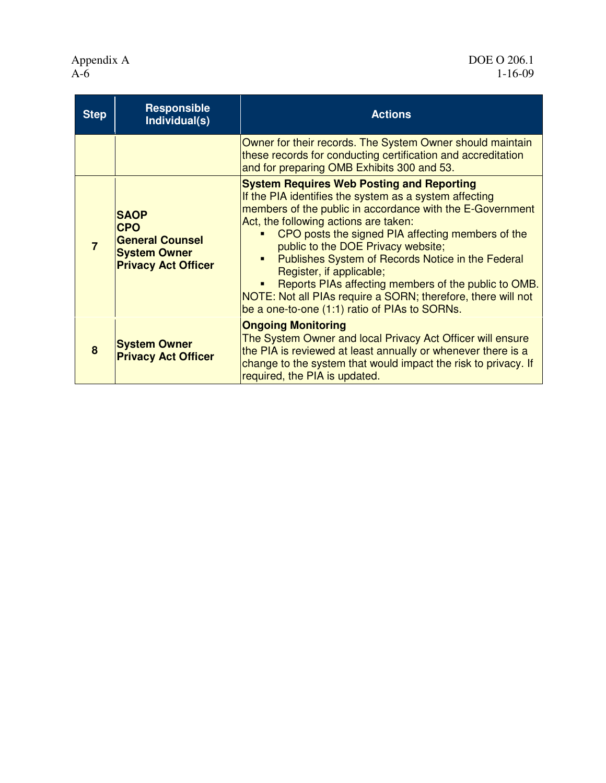Appendix A<br>A-6

| <b>Step</b> | <b>Responsible</b><br>Individual(s)                                                                      | <b>Actions</b>                                                                                                                                                                                                                                                                                                                                                                                                                                                                                                                                                             |  |
|-------------|----------------------------------------------------------------------------------------------------------|----------------------------------------------------------------------------------------------------------------------------------------------------------------------------------------------------------------------------------------------------------------------------------------------------------------------------------------------------------------------------------------------------------------------------------------------------------------------------------------------------------------------------------------------------------------------------|--|
|             |                                                                                                          | Owner for their records. The System Owner should maintain<br>these records for conducting certification and accreditation<br>and for preparing OMB Exhibits 300 and 53.                                                                                                                                                                                                                                                                                                                                                                                                    |  |
|             | <b>SAOP</b><br><b>CPO</b><br><b>General Counsel</b><br><b>System Owner</b><br><b>Privacy Act Officer</b> | <b>System Requires Web Posting and Reporting</b><br>If the PIA identifies the system as a system affecting<br>members of the public in accordance with the E-Government<br>Act, the following actions are taken:<br>CPO posts the signed PIA affecting members of the<br>public to the DOE Privacy website;<br>Publishes System of Records Notice in the Federal<br>٠<br>Register, if applicable;<br>Reports PIAs affecting members of the public to OMB.<br>NOTE: Not all PIAs require a SORN; therefore, there will not<br>be a one-to-one (1:1) ratio of PIAs to SORNs. |  |
| 8           | <b>System Owner</b><br><b>Privacy Act Officer</b>                                                        | <b>Ongoing Monitoring</b><br>The System Owner and local Privacy Act Officer will ensure<br>the PIA is reviewed at least annually or whenever there is a<br>change to the system that would impact the risk to privacy. If<br>required, the PIA is updated.                                                                                                                                                                                                                                                                                                                 |  |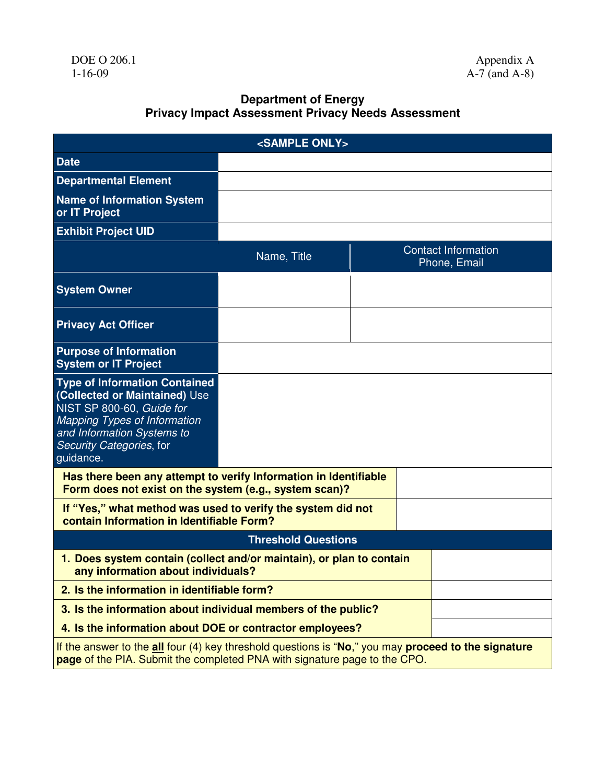#### **Department of Energy Privacy Impact Assessment Privacy Needs Assessment**

| <sample only=""></sample>                                                                                                                                                                                        |             |                                            |  |  |  |  |
|------------------------------------------------------------------------------------------------------------------------------------------------------------------------------------------------------------------|-------------|--------------------------------------------|--|--|--|--|
| <b>Date</b>                                                                                                                                                                                                      |             |                                            |  |  |  |  |
| <b>Departmental Element</b>                                                                                                                                                                                      |             |                                            |  |  |  |  |
| <b>Name of Information System</b><br>or IT Project                                                                                                                                                               |             |                                            |  |  |  |  |
| <b>Exhibit Project UID</b>                                                                                                                                                                                       |             |                                            |  |  |  |  |
|                                                                                                                                                                                                                  | Name, Title | <b>Contact Information</b><br>Phone, Email |  |  |  |  |
| <b>System Owner</b>                                                                                                                                                                                              |             |                                            |  |  |  |  |
| <b>Privacy Act Officer</b>                                                                                                                                                                                       |             |                                            |  |  |  |  |
| <b>Purpose of Information</b><br><b>System or IT Project</b>                                                                                                                                                     |             |                                            |  |  |  |  |
| <b>Type of Information Contained</b><br>(Collected or Maintained) Use<br>NIST SP 800-60, Guide for<br><b>Mapping Types of Information</b><br>and Information Systems to<br>Security Categories, for<br>guidance. |             |                                            |  |  |  |  |
| Has there been any attempt to verify Information in Identifiable<br>Form does not exist on the system (e.g., system scan)?                                                                                       |             |                                            |  |  |  |  |
| If "Yes," what method was used to verify the system did not<br>contain Information in Identifiable Form?                                                                                                         |             |                                            |  |  |  |  |
| <b>Threshold Questions</b>                                                                                                                                                                                       |             |                                            |  |  |  |  |
| 1. Does system contain (collect and/or maintain), or plan to contain<br>any information about individuals?                                                                                                       |             |                                            |  |  |  |  |
| 2. Is the information in identifiable form?                                                                                                                                                                      |             |                                            |  |  |  |  |
| 3. Is the information about individual members of the public?                                                                                                                                                    |             |                                            |  |  |  |  |
| 4. Is the information about DOE or contractor employees?                                                                                                                                                         |             |                                            |  |  |  |  |
| If the answer to the all four (4) key threshold questions is "No," you may proceed to the signature<br>page of the PIA. Submit the completed PNA with signature page to the CPO.                                 |             |                                            |  |  |  |  |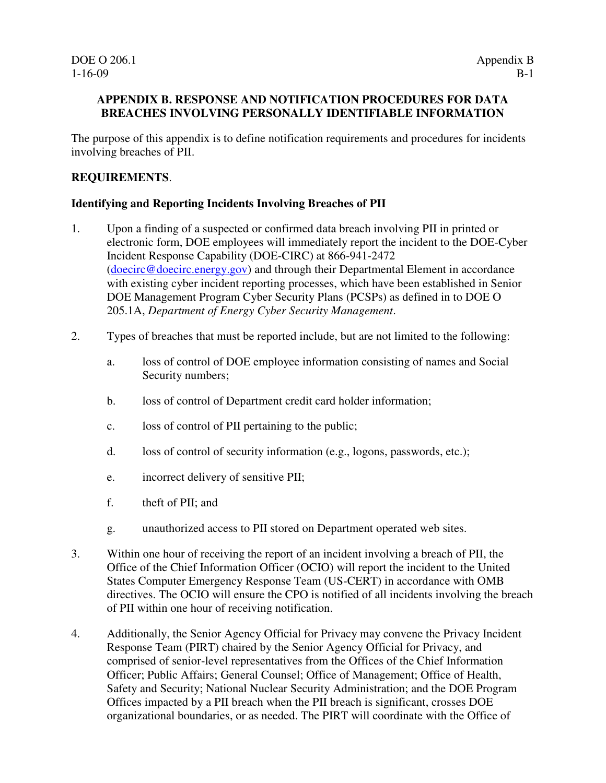#### **APPENDIX B. RESPONSE AND NOTIFICATION PROCEDURES FOR DATA BREACHES INVOLVING PERSONALLY IDENTIFIABLE INFORMATION**

The purpose of this appendix is to define notification requirements and procedures for incidents involving breaches of PII.

#### **REQUIREMENTS**.

#### **Identifying and Reporting Incidents Involving Breaches of PII**

- 1. Upon a finding of a suspected or confirmed data breach involving PII in printed or electronic form, DOE employees will immediately report the incident to the DOE-Cyber Incident Response Capability (DOE-CIRC) at 866-941-2472 (doecirc@doecirc.energy.gov) and through their Departmental Element in accordance with existing cyber incident reporting processes, which have been established in Senior DOE Management Program Cyber Security Plans (PCSPs) as defined in to DOE O 205.1A, *Department of Energy Cyber Security Management*.
- 2. Types of breaches that must be reported include, but are not limited to the following:
	- a. loss of control of DOE employee information consisting of names and Social Security numbers;
	- b. loss of control of Department credit card holder information;
	- c. loss of control of PII pertaining to the public;
	- d. loss of control of security information (e.g., logons, passwords, etc.);
	- e. incorrect delivery of sensitive PII;
	- f. theft of PII; and
	- g. unauthorized access to PII stored on Department operated web sites.
- 3. Within one hour of receiving the report of an incident involving a breach of PII, the Office of the Chief Information Officer (OCIO) will report the incident to the United States Computer Emergency Response Team (US-CERT) in accordance with OMB directives. The OCIO will ensure the CPO is notified of all incidents involving the breach of PII within one hour of receiving notification.
- 4. Additionally, the Senior Agency Official for Privacy may convene the Privacy Incident Response Team (PIRT) chaired by the Senior Agency Official for Privacy, and comprised of senior-level representatives from the Offices of the Chief Information Officer; Public Affairs; General Counsel; Office of Management; Office of Health, Safety and Security; National Nuclear Security Administration; and the DOE Program Offices impacted by a PII breach when the PII breach is significant, crosses DOE organizational boundaries, or as needed. The PIRT will coordinate with the Office of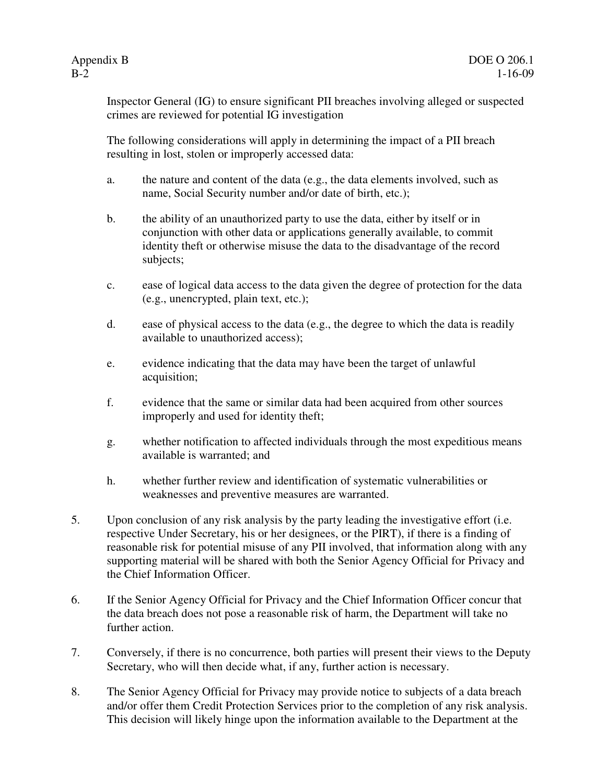Inspector General (IG) to ensure significant PII breaches involving alleged or suspected crimes are reviewed for potential IG investigation

The following considerations will apply in determining the impact of a PII breach resulting in lost, stolen or improperly accessed data:

- a. the nature and content of the data (e.g., the data elements involved, such as name, Social Security number and/or date of birth, etc.);
- b. the ability of an unauthorized party to use the data, either by itself or in conjunction with other data or applications generally available, to commit identity theft or otherwise misuse the data to the disadvantage of the record subjects;
- c. ease of logical data access to the data given the degree of protection for the data (e.g., unencrypted, plain text, etc.);
- d. ease of physical access to the data (e.g., the degree to which the data is readily available to unauthorized access);
- e. evidence indicating that the data may have been the target of unlawful acquisition;
- f. evidence that the same or similar data had been acquired from other sources improperly and used for identity theft;
- g. whether notification to affected individuals through the most expeditious means available is warranted; and
- h. whether further review and identification of systematic vulnerabilities or weaknesses and preventive measures are warranted.
- 5. Upon conclusion of any risk analysis by the party leading the investigative effort (i.e. respective Under Secretary, his or her designees, or the PIRT), if there is a finding of reasonable risk for potential misuse of any PII involved, that information along with any supporting material will be shared with both the Senior Agency Official for Privacy and the Chief Information Officer.
- 6. If the Senior Agency Official for Privacy and the Chief Information Officer concur that the data breach does not pose a reasonable risk of harm, the Department will take no further action.
- 7. Conversely, if there is no concurrence, both parties will present their views to the Deputy Secretary, who will then decide what, if any, further action is necessary.
- 8. The Senior Agency Official for Privacy may provide notice to subjects of a data breach and/or offer them Credit Protection Services prior to the completion of any risk analysis. This decision will likely hinge upon the information available to the Department at the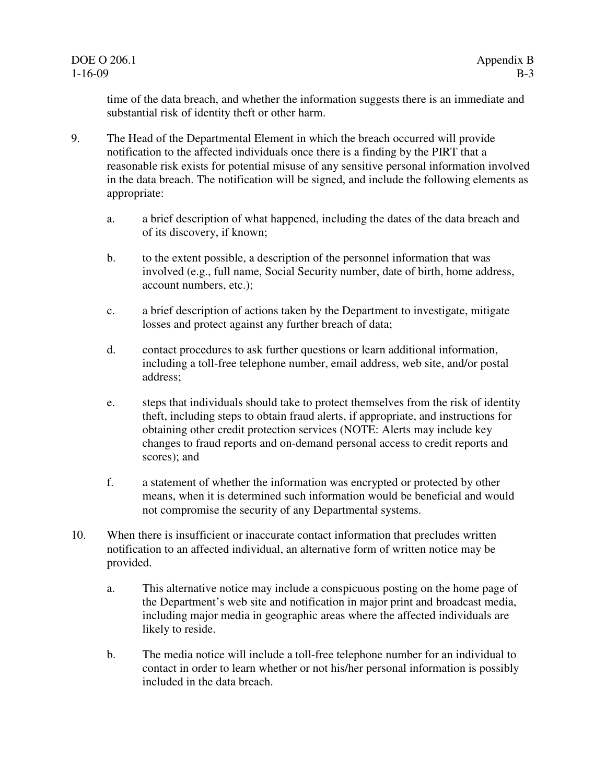time of the data breach, and whether the information suggests there is an immediate and substantial risk of identity theft or other harm.

- 9. The Head of the Departmental Element in which the breach occurred will provide notification to the affected individuals once there is a finding by the PIRT that a reasonable risk exists for potential misuse of any sensitive personal information involved in the data breach. The notification will be signed, and include the following elements as appropriate:
	- a. a brief description of what happened, including the dates of the data breach and of its discovery, if known;
	- b. to the extent possible, a description of the personnel information that was involved (e.g., full name, Social Security number, date of birth, home address, account numbers, etc.);
	- c. a brief description of actions taken by the Department to investigate, mitigate losses and protect against any further breach of data;
	- d. contact procedures to ask further questions or learn additional information, including a toll-free telephone number, email address, web site, and/or postal address;
	- e. steps that individuals should take to protect themselves from the risk of identity theft, including steps to obtain fraud alerts, if appropriate, and instructions for obtaining other credit protection services (NOTE: Alerts may include key changes to fraud reports and on-demand personal access to credit reports and scores); and
	- f. a statement of whether the information was encrypted or protected by other means, when it is determined such information would be beneficial and would not compromise the security of any Departmental systems.
- 10. When there is insufficient or inaccurate contact information that precludes written notification to an affected individual, an alternative form of written notice may be provided.
	- a. This alternative notice may include a conspicuous posting on the home page of the Department's web site and notification in major print and broadcast media, including major media in geographic areas where the affected individuals are likely to reside.
	- b. The media notice will include a toll-free telephone number for an individual to contact in order to learn whether or not his/her personal information is possibly included in the data breach.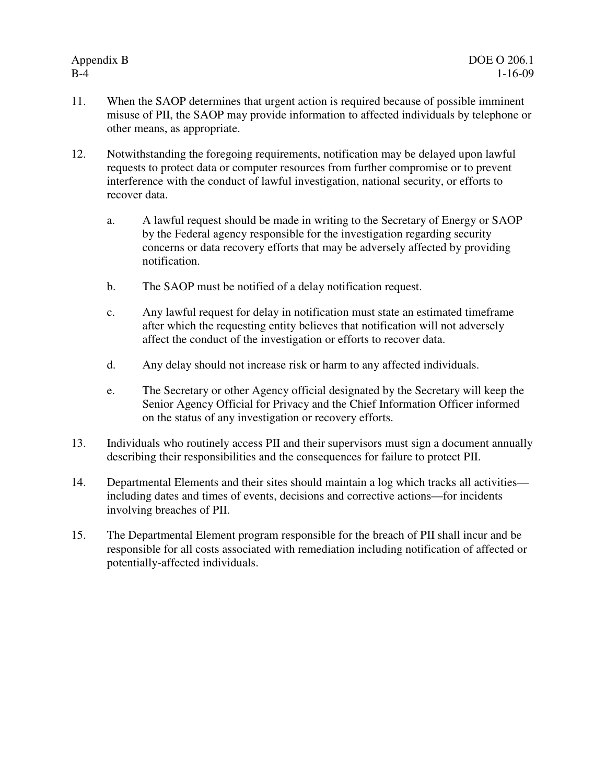- 11. When the SAOP determines that urgent action is required because of possible imminent misuse of PII, the SAOP may provide information to affected individuals by telephone or other means, as appropriate.
- 12. Notwithstanding the foregoing requirements, notification may be delayed upon lawful requests to protect data or computer resources from further compromise or to prevent interference with the conduct of lawful investigation, national security, or efforts to recover data.
	- a. A lawful request should be made in writing to the Secretary of Energy or SAOP by the Federal agency responsible for the investigation regarding security concerns or data recovery efforts that may be adversely affected by providing notification.
	- b. The SAOP must be notified of a delay notification request.
	- c. Any lawful request for delay in notification must state an estimated timeframe after which the requesting entity believes that notification will not adversely affect the conduct of the investigation or efforts to recover data.
	- d. Any delay should not increase risk or harm to any affected individuals.
	- e. The Secretary or other Agency official designated by the Secretary will keep the Senior Agency Official for Privacy and the Chief Information Officer informed on the status of any investigation or recovery efforts.
- 13. Individuals who routinely access PII and their supervisors must sign a document annually describing their responsibilities and the consequences for failure to protect PII.
- 14. Departmental Elements and their sites should maintain a log which tracks all activities including dates and times of events, decisions and corrective actions—for incidents involving breaches of PII.
- 15. The Departmental Element program responsible for the breach of PII shall incur and be responsible for all costs associated with remediation including notification of affected or potentially-affected individuals.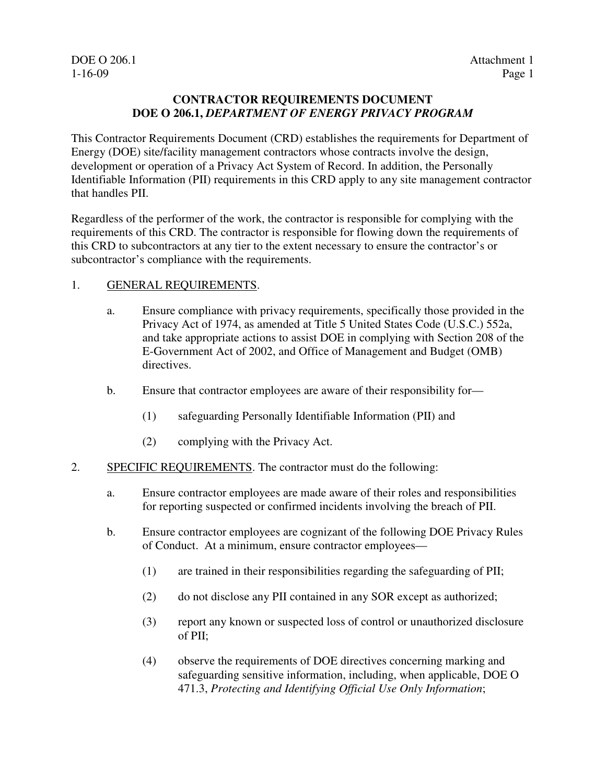DOE O 206.1 Attachment 1

#### **CONTRACTOR REQUIREMENTS DOCUMENT DOE O 206.1,** *DEPARTMENT OF ENERGY PRIVACY PROGRAM*

This Contractor Requirements Document (CRD) establishes the requirements for Department of Energy (DOE) site/facility management contractors whose contracts involve the design, development or operation of a Privacy Act System of Record. In addition, the Personally Identifiable Information (PII) requirements in this CRD apply to any site management contractor that handles PII.

Regardless of the performer of the work, the contractor is responsible for complying with the requirements of this CRD. The contractor is responsible for flowing down the requirements of this CRD to subcontractors at any tier to the extent necessary to ensure the contractor's or subcontractor's compliance with the requirements.

#### 1. GENERAL REQUIREMENTS.

- a. Ensure compliance with privacy requirements, specifically those provided in the Privacy Act of 1974, as amended at Title 5 United States Code (U.S.C.) 552a, and take appropriate actions to assist DOE in complying with Section 208 of the E-Government Act of 2002, and Office of Management and Budget (OMB) directives.
- b. Ensure that contractor employees are aware of their responsibility for—
	- (1) safeguarding Personally Identifiable Information (PII) and
	- (2) complying with the Privacy Act.
- 2. SPECIFIC REQUIREMENTS. The contractor must do the following:
	- a. Ensure contractor employees are made aware of their roles and responsibilities for reporting suspected or confirmed incidents involving the breach of PII.
	- b. Ensure contractor employees are cognizant of the following DOE Privacy Rules of Conduct. At a minimum, ensure contractor employees—
		- (1) are trained in their responsibilities regarding the safeguarding of PII;
		- (2) do not disclose any PII contained in any SOR except as authorized;
		- (3) report any known or suspected loss of control or unauthorized disclosure of PII;
		- (4) observe the requirements of DOE directives concerning marking and safeguarding sensitive information, including, when applicable, DOE O 471.3, *Protecting and Identifying Official Use Only Information*;